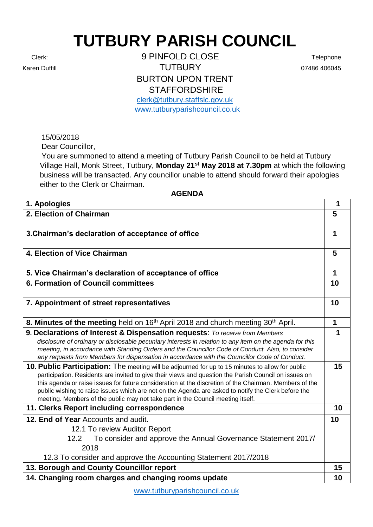## **TUTBURY PARISH COUNCIL**

Clerk: 9 PINFOLD CLOSE Telephone Karen Duffill **Contract Contract Contract Contract Contract Contract Contract Contract Contract Contract Contract Contract Contract Contract Contract Contract Contract Contract Contract Contract Contract Contract Contract** BURTON UPON TRENT **STAFFORDSHIRE** 

[clerk@tutbury.staffslc.gov.uk](mailto:clerk@tutbury.staffslc.gov.uk) [www.tutburyparishcouncil.co.uk](http://www.tutburyparishcouncil.co.uk/)

15/05/2018

Dear Councillor,

You are summoned to attend a meeting of Tutbury Parish Council to be held at Tutbury Village Hall, Monk Street, Tutbury, **Monday 21st May 2018 at 7.30pm** at which the following business will be transacted. Any councillor unable to attend should forward their apologies either to the Clerk or Chairman.

## **AGENDA**

| 1. Apologies                                                                                             | 1           |
|----------------------------------------------------------------------------------------------------------|-------------|
| 2. Election of Chairman                                                                                  | 5           |
|                                                                                                          |             |
| 3. Chairman's declaration of acceptance of office                                                        | 1           |
| 4. Election of Vice Chairman                                                                             | 5           |
|                                                                                                          |             |
| 5. Vice Chairman's declaration of acceptance of office                                                   | 1           |
| 6. Formation of Council committees                                                                       | 10          |
|                                                                                                          |             |
| 7. Appointment of street representatives                                                                 | 10          |
|                                                                                                          | $\mathbf 1$ |
| 8. Minutes of the meeting held on 16 <sup>th</sup> April 2018 and church meeting 30 <sup>th</sup> April. |             |
| 9. Declarations of Interest & Dispensation requests: To receive from Members                             |             |
| disclosure of ordinary or disclosable pecuniary interests in relation to any item on the agenda for this |             |
| meeting, in accordance with Standing Orders and the Councillor Code of Conduct. Also, to consider        |             |
| any requests from Members for dispensation in accordance with the Councillor Code of Conduct.            |             |
| 10. Public Participation: The meeting will be adjourned for up to 15 minutes to allow for public         | 15          |
| participation. Residents are invited to give their views and question the Parish Council on issues on    |             |
| this agenda or raise issues for future consideration at the discretion of the Chairman. Members of the   |             |
| public wishing to raise issues which are not on the Agenda are asked to notify the Clerk before the      |             |
| meeting. Members of the public may not take part in the Council meeting itself.                          |             |
| 11. Clerks Report including correspondence                                                               | 10          |
| 12. End of Year Accounts and audit.                                                                      | 10          |
| 12.1 To review Auditor Report                                                                            |             |
| To consider and approve the Annual Governance Statement 2017/<br>12.2                                    |             |
| 2018                                                                                                     |             |
|                                                                                                          |             |
| 12.3 To consider and approve the Accounting Statement 2017/2018                                          |             |
| 13. Borough and County Councillor report                                                                 | 15          |
| 14. Changing room charges and changing rooms update                                                      | 10          |

[www.tutburyparishcouncil.co.uk](http://www.tutburyparishcouncil.co.uk/)